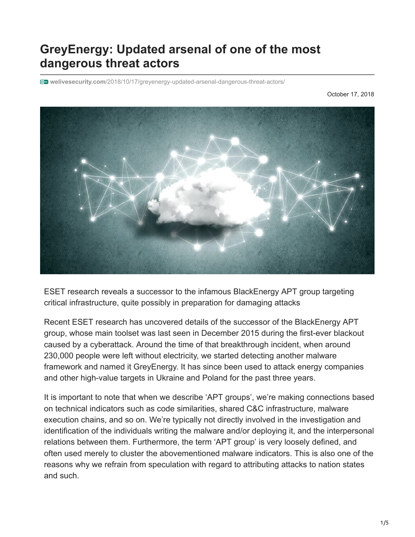## **GreyEnergy: Updated arsenal of one of the most dangerous threat actors**

**welivesecurity.com**[/2018/10/17/greyenergy-updated-arsenal-dangerous-threat-actors/](https://www.welivesecurity.com/2018/10/17/greyenergy-updated-arsenal-dangerous-threat-actors/)

October 17, 2018



ESET research reveals a successor to the infamous BlackEnergy APT group targeting critical infrastructure, quite possibly in preparation for damaging attacks

Recent ESET research has uncovered details of the successor of the BlackEnergy APT group, whose main toolset was last seen in December 2015 during the first-ever blackout caused by a cyberattack. Around the time of that breakthrough incident, when around 230,000 people were left without electricity, we started detecting another malware framework and named it GreyEnergy. It has since been used to attack energy companies and other high-value targets in Ukraine and Poland for the past three years.

It is important to note that when we describe 'APT groups', we're making connections based on technical indicators such as code similarities, shared C&C infrastructure, malware execution chains, and so on. We're typically not directly involved in the investigation and identification of the individuals writing the malware and/or deploying it, and the interpersonal relations between them. Furthermore, the term 'APT group' is very loosely defined, and often used merely to cluster the abovementioned malware indicators. This is also one of the reasons why we refrain from speculation with regard to attributing attacks to nation states and such.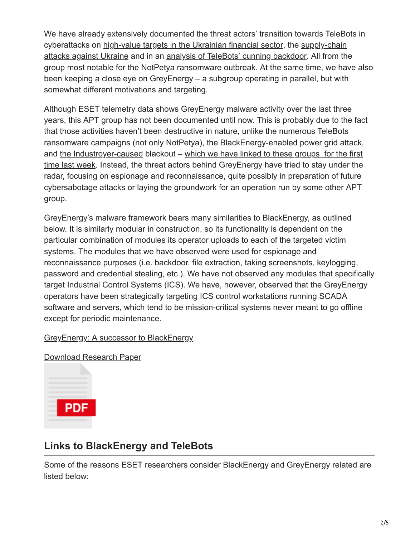We have already extensively documented the threat actors' transition towards TeleBots in [cyberattacks on](https://www.welivesecurity.com/2017/06/30/telebots-back-supply-chain-attacks-against-ukraine/) [high-value targets in the Ukrainian financial sector](https://www.welivesecurity.com/2016/12/13/rise-telebots-analyzing-disruptive-killdisk-attacks/)[, the supply-chain](https://www.welivesecurity.com/2017/06/30/telebots-back-supply-chain-attacks-against-ukraine/) attacks against Ukraine and in an [analysis of TeleBots' cunning backdoor](https://www.welivesecurity.com/2017/07/04/analysis-of-telebots-cunning-backdoor/). All from the group most notable for the NotPetya ransomware outbreak. At the same time, we have also been keeping a close eye on GreyEnergy – a subgroup operating in parallel, but with somewhat different motivations and targeting.

Although ESET telemetry data shows GreyEnergy malware activity over the last three years, this APT group has not been documented until now. This is probably due to the fact that those activities haven't been destructive in nature, unlike the numerous TeleBots ransomware campaigns (not only NotPetya), the BlackEnergy-enabled power grid attack, and [the Industroyer-caused](https://www.welivesecurity.com/2017/06/12/industroyer-biggest-threat-industrial-control-systems-since-stuxnet/) blackout – which we have linked to these groups for the first [time last week. Instead, the threat actors behind GreyEnergy have tried to stay under the](https://www.welivesecurity.com/2018/10/11/new-telebots-backdoor-linking-industroyer-notpetya/) radar, focusing on espionage and reconnaissance, quite possibly in preparation of future cybersabotage attacks or laying the groundwork for an operation run by some other APT group.

GreyEnergy's malware framework bears many similarities to BlackEnergy, as outlined below. It is similarly modular in construction, so its functionality is dependent on the particular combination of modules its operator uploads to each of the targeted victim systems. The modules that we have observed were used for espionage and reconnaissance purposes (i.e. backdoor, file extraction, taking screenshots, keylogging, password and credential stealing, etc.). We have not observed any modules that specifically target Industrial Control Systems (ICS). We have, however, observed that the GreyEnergy operators have been strategically targeting ICS control workstations running SCADA software and servers, which tend to be mission-critical systems never meant to go offline except for periodic maintenance.

## [GreyEnergy: A successor to BlackEnergy](https://www.welivesecurity.com/wp-content/uploads/2018/10/ESET_GreyEnergy.pdf)

[Download Research Paper](https://www.welivesecurity.com/wp-content/uploads/2018/10/ESET_GreyEnergy.pdf)



## **Links to BlackEnergy and TeleBots**

Some of the reasons ESET researchers consider BlackEnergy and GreyEnergy related are listed below: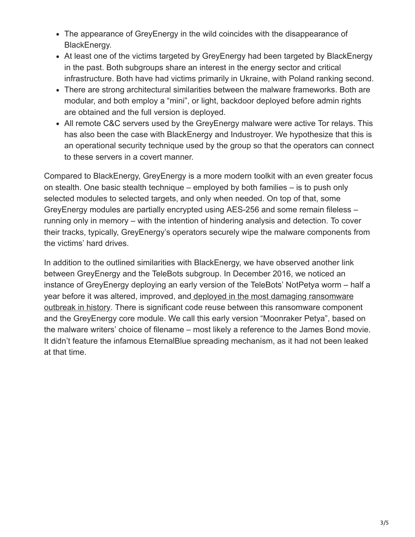- The appearance of GreyEnergy in the wild coincides with the disappearance of BlackEnergy.
- At least one of the victims targeted by GreyEnergy had been targeted by BlackEnergy in the past. Both subgroups share an interest in the energy sector and critical infrastructure. Both have had victims primarily in Ukraine, with Poland ranking second.
- There are strong architectural similarities between the malware frameworks. Both are modular, and both employ a "mini", or light, backdoor deployed before admin rights are obtained and the full version is deployed.
- All remote C&C servers used by the GreyEnergy malware were active Tor relays. This has also been the case with BlackEnergy and Industroyer. We hypothesize that this is an operational security technique used by the group so that the operators can connect to these servers in a covert manner.

Compared to BlackEnergy, GreyEnergy is a more modern toolkit with an even greater focus on stealth. One basic stealth technique – employed by both families – is to push only selected modules to selected targets, and only when needed. On top of that, some GreyEnergy modules are partially encrypted using AES-256 and some remain fileless – running only in memory – with the intention of hindering analysis and detection. To cover their tracks, typically, GreyEnergy's operators securely wipe the malware components from the victims' hard drives.

In addition to the outlined similarities with BlackEnergy, we have observed another link between GreyEnergy and the TeleBots subgroup. In December 2016, we noticed an instance of GreyEnergy deploying an early version of the TeleBots' NotPetya worm – half a year before it was altered, improved, and deployed in the most damaging ransomware [outbreak in history. There is significant code reuse between this ransomware compone](https://www.welivesecurity.com/2017/07/04/analysis-of-telebots-cunning-backdoor/)nt and the GreyEnergy core module. We call this early version "Moonraker Petya", based on the malware writers' choice of filename – most likely a reference to the James Bond movie. It didn't feature the infamous EternalBlue spreading mechanism, as it had not been leaked at that time.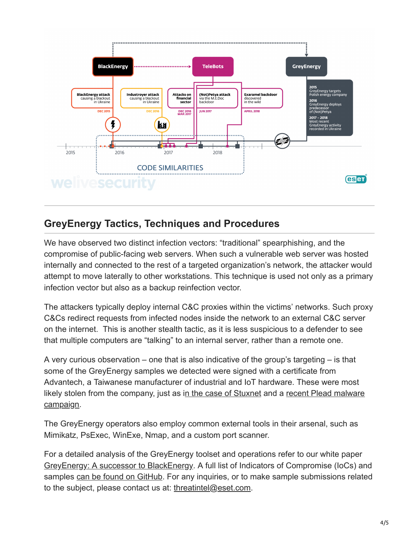

## **GreyEnergy Tactics, Techniques and Procedures**

We have observed two distinct infection vectors: "traditional" spearphishing, and the compromise of public-facing web servers. When such a vulnerable web server was hosted internally and connected to the rest of a targeted organization's network, the attacker would attempt to move laterally to other workstations. This technique is used not only as a primary infection vector but also as a backup reinfection vector.

The attackers typically deploy internal C&C proxies within the victims' networks. Such proxy C&Cs redirect requests from infected nodes inside the network to an external C&C server on the internet. This is another stealth tactic, as it is less suspicious to a defender to see that multiple computers are "talking" to an internal server, rather than a remote one.

A very curious observation – one that is also indicative of the group's targeting  $-$  is that some of the GreyEnergy samples we detected were signed with a certificate from Advantech, a Taiwanese manufacturer of industrial and IoT hardware. These were most [likely stolen from the company, just as in the case of Stuxnet and a recent Plead malware](https://www.welivesecurity.com/2018/07/09/certificates-stolen-taiwanese-tech-companies-plead-malware-campaign/) campaign.

The GreyEnergy operators also employ common external tools in their arsenal, such as Mimikatz, PsExec, WinExe, Nmap, and a custom port scanner.

For a detailed analysis of the GreyEnergy toolset and operations refer to our white paper [GreyEnergy: A successor to BlackEnergy](https://www.welivesecurity.com/wp-content/uploads/2018/10/ESET_GreyEnergy.pdf). A full list of Indicators of Compromise (IoCs) and samples [can be found on GitHub.](https://github.com/eset/malware-ioc/tree/master/greyenergy) For any inquiries, or to make sample submissions related to the subject, please contact us at: [threatintel@eset.com](http://10.10.0.46/mailto:threatintel@eset.com).